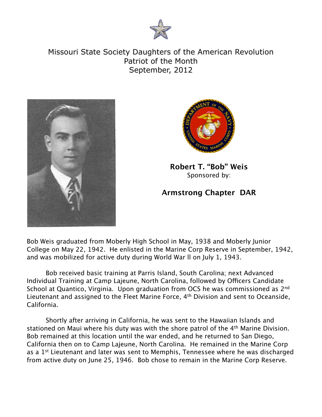

Missouri State Society Daughters of the American Revolution Patriot of the Month September, 2012





**Robert T. "Bob" Weis** Sponsored by:

## **Armstrong Chapter DAR**

Bob Weis graduated from Moberly High School in May, 1938 and Moberly Junior College on May 22, 1942. He enlisted in the Marine Corp Reserve in September, 1942, and was mobilized for active duty during World War ll on July 1, 1943.

Bob received basic training at Parris Island, South Carolina; next Advanced Individual Training at Camp Lajeune, North Carolina, followed by Officers Candidate School at Quantico, Virginia. Upon graduation from OCS he was commissioned as 2<sup>nd</sup> Lieutenant and assigned to the Fleet Marine Force, 4<sup>th</sup> Division and sent to Oceanside, California.

Shortly after arriving in California, he was sent to the Hawaiian Islands and stationed on Maui where his duty was with the shore patrol of the 4<sup>th</sup> Marine Division. Bob remained at this location until the war ended, and he returned to San Diego, California then on to Camp Lajeune, North Carolina. He remained in the Marine Corp as a 1<sup>st</sup> Lieutenant and later was sent to Memphis, Tennessee where he was discharged from active duty on June 25, 1946. Bob chose to remain in the Marine Corp Reserve.